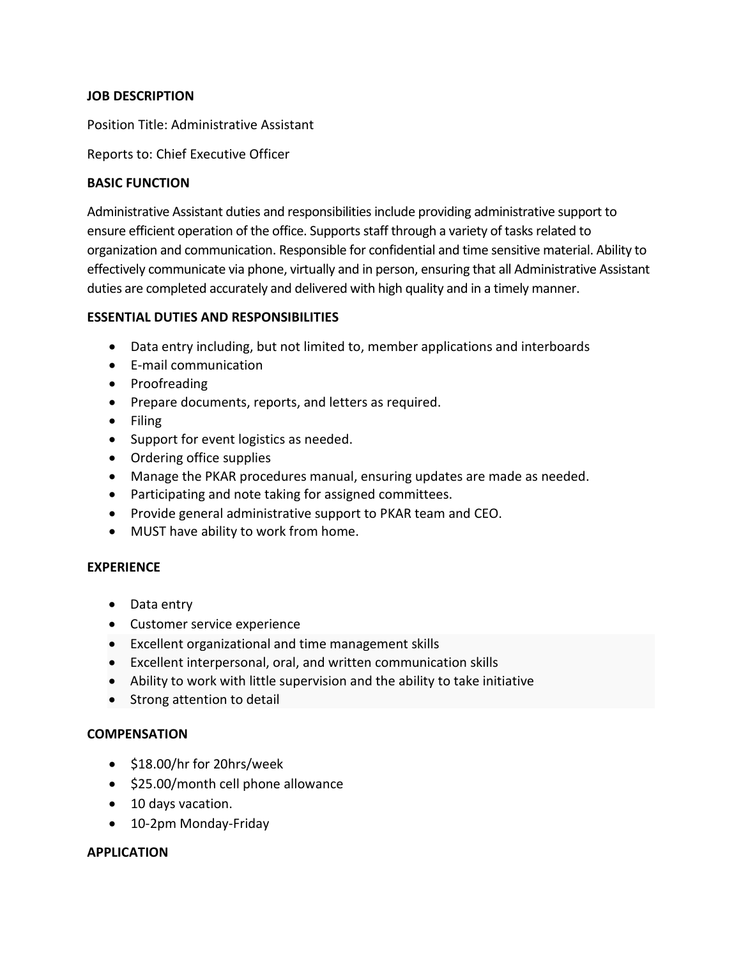# **JOB DESCRIPTION**

Position Title: Administrative Assistant

Reports to: Chief Executive Officer

## **BASIC FUNCTION**

Administrative Assistant duties and responsibilities include providing administrative support to ensure efficient operation of the office. Supports staff through a variety of tasks related to organization and communication. Responsible for confidential and time sensitive material. Ability to effectively communicate via phone, virtually and in person, ensuring that all Administrative Assistant duties are completed accurately and delivered with high quality and in a timely manner.

# **ESSENTIAL DUTIES AND RESPONSIBILITIES**

- Data entry including, but not limited to, member applications and interboards
- E-mail communication
- Proofreading
- Prepare documents, reports, and letters as required.
- Filing
- Support for event logistics as needed.
- Ordering office supplies
- Manage the PKAR procedures manual, ensuring updates are made as needed.
- Participating and note taking for assigned committees.
- Provide general administrative support to PKAR team and CEO.
- MUST have ability to work from home.

### **EXPERIENCE**

- Data entry
- Customer service experience
- Excellent organizational and time management skills
- Excellent interpersonal, oral, and written communication skills
- Ability to work with little supervision and the ability to take initiative
- Strong attention to detail

### **COMPENSATION**

- \$18.00/hr for 20hrs/week
- \$25.00/month cell phone allowance
- 10 days vacation.
- 10-2pm Monday-Friday

### **APPLICATION**